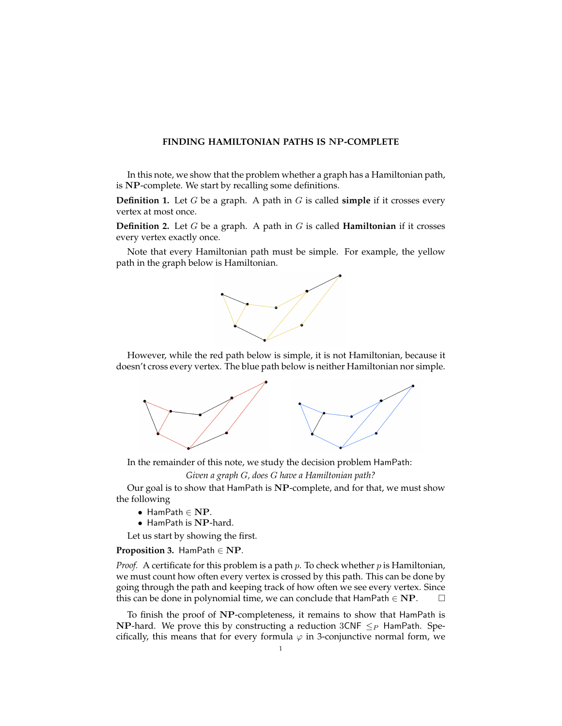## **FINDING HAMILTONIAN PATHS IS** NP**-COMPLETE**

In this note, we show that the problem whether a graph has a Hamiltonian path, is NP-complete. We start by recalling some definitions.

**Definition 1.** Let G be a graph. A path in G is called **simple** if it crosses every vertex at most once.

**Definition 2.** Let G be a graph. A path in G is called **Hamiltonian** if it crosses every vertex exactly once.

Note that every Hamiltonian path must be simple. For example, the yellow path in the graph below is Hamiltonian.



However, while the red path below is simple, it is not Hamiltonian, because it doesn't cross every vertex. The blue path below is neither Hamiltonian nor simple.



In the remainder of this note, we study the decision problem HamPath:

*Given a graph* G*, does* G *have a Hamiltonian path?*

Our goal is to show that HamPath is NP-complete, and for that, we must show the following

- HamPath ∈ NP.
- HamPath is NP-hard.

Let us start by showing the first.

### <span id="page-0-0"></span>**Proposition 3.** HamPath ∈ NP*.*

*Proof.* A certificate for this problem is a path  $p$ . To check whether  $p$  is Hamiltonian, we must count how often every vertex is crossed by this path. This can be done by going through the path and keeping track of how often we see every vertex. Since this can be done in polynomial time, we can conclude that  $\text{HamPath} \in \text{NP}$ .  $\Box$ 

To finish the proof of NP-completeness, it remains to show that HamPath is **NP-hard.** We prove this by constructing a reduction  $3CNF \leq_P H$ amPath. Specifically, this means that for every formula  $\varphi$  in 3-conjunctive normal form, we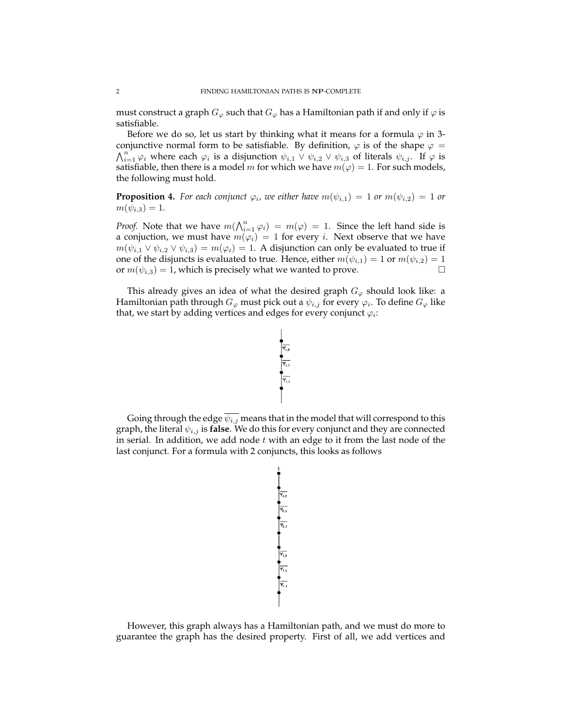must construct a graph  $G_{\varphi}$  such that  $G_{\varphi}$  has a Hamiltonian path if and only if  $\varphi$  is satisfiable.

Before we do so, let us start by thinking what it means for a formula  $\varphi$  in 3conjunctive normal form to be satisfiable. By definition,  $\varphi$  is of the shape  $\varphi =$  $\bigwedge_{i=1}^{n'} \varphi_i$  where each  $\varphi_i$  is a disjunction  $\psi_{i,1} \vee \psi_{i,2} \vee \psi_{i,3}$  of literals  $\psi_{i,j}$ . If  $\varphi$  is satisfiable, then there is a model m for which we have  $m(\varphi) = 1$ . For such models, the following must hold.

**Proposition 4.** For each conjunct  $\varphi_i$ , we either have  $m(\psi_{i,1}) = 1$  or  $m(\psi_{i,2}) = 1$  or  $m(\psi_{i,3}) = 1.$ 

*Proof.* Note that we have  $m(\bigwedge_{i=1}^n \varphi_i) = m(\varphi) = 1$ . Since the left hand side is a conjuction, we must have  $m(\varphi_i) = 1$  for every *i*. Next observe that we have  $m(\psi_{i,1} \vee \psi_{i,2} \vee \psi_{i,3}) = m(\varphi_i) = 1$ . A disjunction can only be evaluated to true if one of the disjuncts is evaluated to true. Hence, either  $m(\psi_{i,1}) = 1$  or  $m(\psi_{i,2}) = 1$ or  $m(\psi_{i,3}) = 1$ , which is precisely what we wanted to prove.

This already gives an idea of what the desired graph  $G_{\varphi}$  should look like: a Hamiltonian path through  $G_\varphi$  must pick out a  $\psi_{i,j}$  for every  $\varphi_i.$  To define  $G_\varphi$  like that, we start by adding vertices and edges for every conjunct  $\varphi_i$ :



Going through the edge  $\overline{\psi_{i,j}}$  means that in the model that will correspond to this graph, the literal  $\psi_{i,j}$  is **false**. We do this for every conjunct and they are connected in serial. In addition, we add node  $t$  with an edge to it from the last node of the last conjunct. For a formula with 2 conjuncts, this looks as follows



However, this graph always has a Hamiltonian path, and we must do more to guarantee the graph has the desired property. First of all, we add vertices and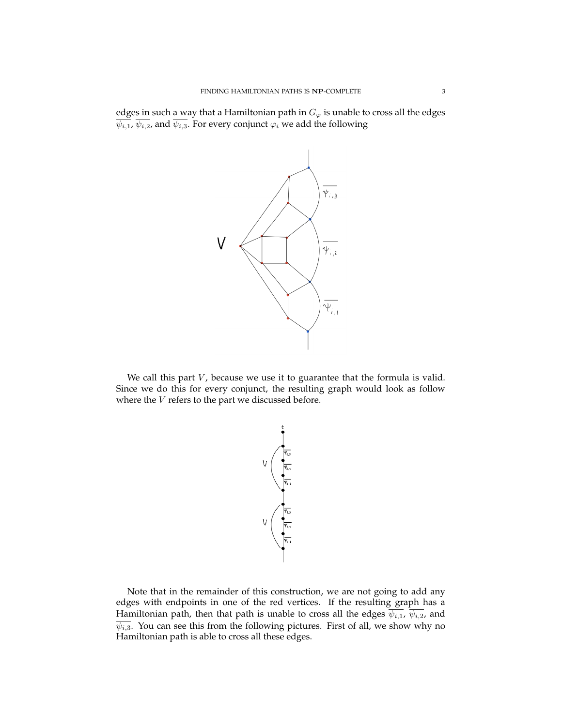edges in such a way that a Hamiltonian path in  $G_{\varphi}$  is unable to cross all the edges  $\overline{\psi_{i,1}}$ ,  $\overline{\psi_{i,2}}$ , and  $\overline{\psi_{i,3}}$ . For every conjunct  $\varphi_i$  we add the following



We call this part  $V$ , because we use it to guarantee that the formula is valid. Since we do this for every conjunct, the resulting graph would look as follow where the  $V$  refers to the part we discussed before.

$$
\bigvee \bigvee
$$

Note that in the remainder of this construction, we are not going to add any edges with endpoints in one of the red vertices. If the resulting graph has a Hamiltonian path, then that path is unable to cross all the edges  $\overline{\psi_{i,1}}$ ,  $\overline{\psi_{i,2}}$ , and  $\overline{\psi_{i,3}}$ . You can see this from the following pictures. First of all, we show why no Hamiltonian path is able to cross all these edges.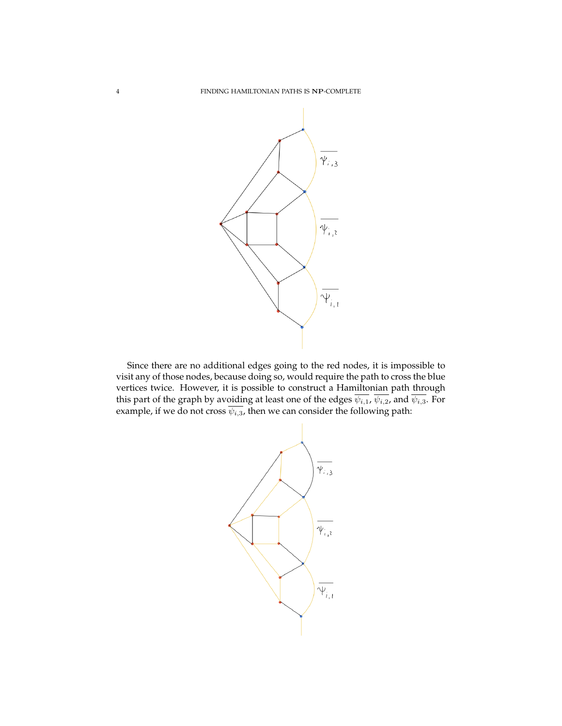

Since there are no additional edges going to the red nodes, it is impossible to visit any of those nodes, because doing so, would require the path to cross the blue vertices twice. However, it is possible to construct a Hamiltonian path through this part of the graph by avoiding at least one of the edges  $\overline{\psi_{i,1}}$ ,  $\overline{\psi_{i,2}}$ , and  $\overline{\psi_{i,3}}$ . For example, if we do not cross  $\overline{\psi_{i,3}}$ , then we can consider the following path:

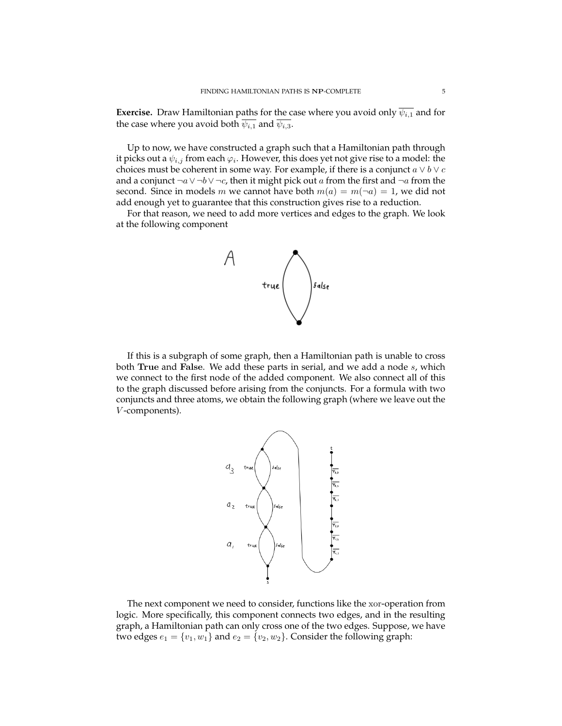**Exercise.** Draw Hamiltonian paths for the case where you avoid only  $\overline{\psi_{i,1}}$  and for the case where you avoid both  $\overline{\psi_{i,1}}$  and  $\overline{\psi_{i,3}}$ .

Up to now, we have constructed a graph such that a Hamiltonian path through it picks out a  $\psi_{i,j}$  from each  $\varphi_i.$  However, this does yet not give rise to a model: the choices must be coherent in some way. For example, if there is a conjunct  $a \vee b \vee c$ and a conjunct  $\neg a \lor \neg b \lor \neg c$ , then it might pick out a from the first and  $\neg a$  from the second. Since in models m we cannot have both  $m(a) = m(\neg a) = 1$ , we did not add enough yet to guarantee that this construction gives rise to a reduction.

For that reason, we need to add more vertices and edges to the graph. We look at the following component



If this is a subgraph of some graph, then a Hamiltonian path is unable to cross both True and False. We add these parts in serial, and we add a node s, which we connect to the first node of the added component. We also connect all of this to the graph discussed before arising from the conjuncts. For a formula with two conjuncts and three atoms, we obtain the following graph (where we leave out the V -components).



The next component we need to consider, functions like the xor-operation from logic. More specifically, this component connects two edges, and in the resulting graph, a Hamiltonian path can only cross one of the two edges. Suppose, we have two edges  $e_1 = \{v_1, w_1\}$  and  $e_2 = \{v_2, w_2\}$ . Consider the following graph: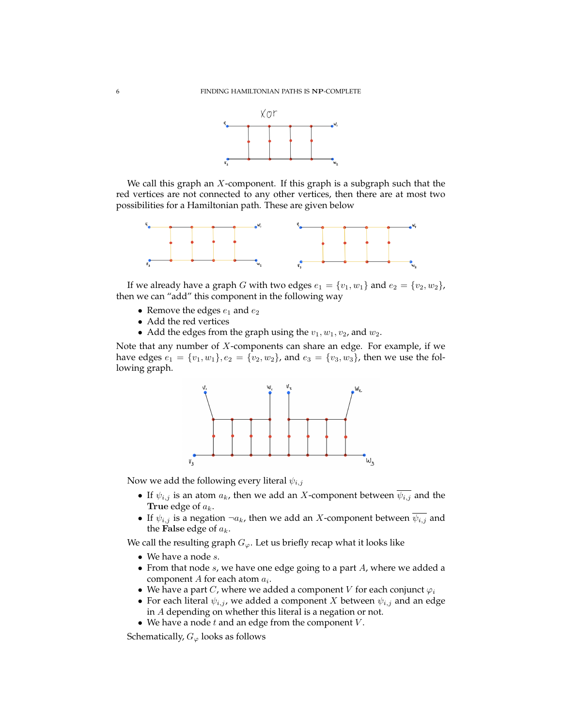

We call this graph an  $X$ -component. If this graph is a subgraph such that the red vertices are not connected to any other vertices, then there are at most two possibilities for a Hamiltonian path. These are given below



If we already have a graph G with two edges  $e_1 = \{v_1, w_1\}$  and  $e_2 = \{v_2, w_2\}$ , then we can "add" this component in the following way

- Remove the edges  $e_1$  and  $e_2$
- Add the red vertices
- Add the edges from the graph using the  $v_1$ ,  $w_1$ ,  $v_2$ , and  $w_2$ .

Note that any number of  $X$ -components can share an edge. For example, if we have edges  $e_1 = \{v_1, w_1\}, e_2 = \{v_2, w_2\}$ , and  $e_3 = \{v_3, w_3\}$ , then we use the following graph.



Now we add the following every literal  $\psi_{i,j}$ 

- If  $\psi_{i,j}$  is an atom  $a_k$ , then we add an X-component between  $\overline{\psi_{i,j}}$  and the True edge of  $a_k$ .
- If  $\psi_{i,j}$  is a negation  $\neg a_k$ , then we add an X-component between  $\psi_{i,j}$  and the False edge of  $a_k$ .

We call the resulting graph  $G_{\varphi}$ . Let us briefly recap what it looks like

- We have a node  $s$ .
- From that node  $s$ , we have one edge going to a part  $A$ , where we added a component  $A$  for each atom  $a_i$ .
- We have a part C, where we added a component V for each conjunct  $\varphi_i$
- For each literal  $\psi_{i,j}$ , we added a component X between  $\psi_{i,j}$  and an edge in A depending on whether this literal is a negation or not.
- We have a node  $t$  and an edge from the component  $V$ .

Schematically,  $G_{\varphi}$  looks as follows